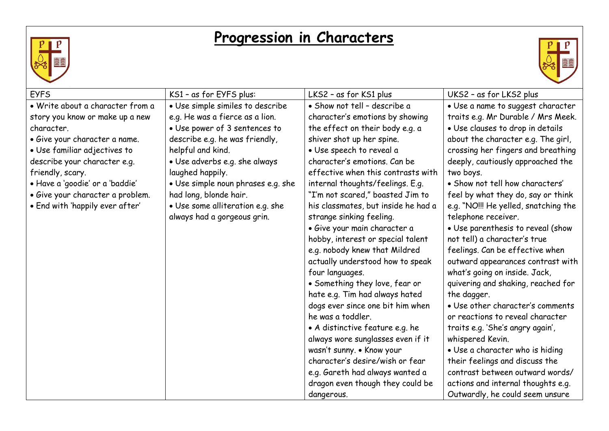

## **Progression in Characters**



| <b>EYFS</b>                      | KS1 - as for EYFS plus:            | LKS2 - as for KS1 plus              | UKS2 - as for LKS2 plus              |
|----------------------------------|------------------------------------|-------------------------------------|--------------------------------------|
| · Write about a character from a | • Use simple similes to describe   | · Show not tell - describe a        | · Use a name to suggest character    |
| story you know or make up a new  | e.g. He was a fierce as a lion.    | character's emotions by showing     | traits e.g. Mr Durable / Mrs Meek.   |
| character.                       | • Use power of 3 sentences to      | the effect on their body e.g. a     | · Use clauses to drop in details     |
| · Give your character a name.    | describe e.g. he was friendly,     | shiver shot up her spine.           | about the character e.g. The girl,   |
| • Use familiar adjectives to     | helpful and kind.                  | · Use speech to reveal a            | crossing her fingers and breathing   |
| describe your character e.g.     | · Use adverbs e.g. she always      | character's emotions. Can be        | deeply, cautiously approached the    |
| friendly, scary.                 | laughed happily.                   | effective when this contrasts with  | two boys.                            |
| · Have a 'goodie' or a 'baddie'  | • Use simple noun phrases e.g. she | internal thoughts/feelings. E.g.    | • Show not tell how characters'      |
| · Give your character a problem. | had long, blonde hair.             | "I'm not scared," boasted Jim to    | feel by what they do, say or think   |
| . End with 'happily ever after'  | · Use some alliteration e.g. she   | his classmates, but inside he had a | e.g. "NO!!! He yelled, snatching the |
|                                  | always had a gorgeous grin.        | strange sinking feeling.            | telephone receiver.                  |
|                                  |                                    | · Give your main character a        | • Use parenthesis to reveal (show    |
|                                  |                                    | hobby, interest or special talent   | not tell) a character's true         |
|                                  |                                    | e.g. nobody knew that Mildred       | feelings. Can be effective when      |
|                                  |                                    | actually understood how to speak    | outward appearances contrast with    |
|                                  |                                    | four languages.                     | what's going on inside. Jack,        |
|                                  |                                    | • Something they love, fear or      | quivering and shaking, reached for   |
|                                  |                                    | hate e.g. Tim had always hated      | the dagger.                          |
|                                  |                                    | dogs ever since one bit him when    | • Use other character's comments     |
|                                  |                                    | he was a toddler.                   | or reactions to reveal character     |
|                                  |                                    | • A distinctive feature e.g. he     | traits e.g. 'She's angry again',     |
|                                  |                                    | always wore sunglasses even if it   | whispered Kevin.                     |
|                                  |                                    | wasn't sunny. • Know your           | • Use a character who is hiding      |
|                                  |                                    | character's desire/wish or fear     | their feelings and discuss the       |
|                                  |                                    | e.g. Gareth had always wanted a     | contrast between outward words/      |
|                                  |                                    | dragon even though they could be    | actions and internal thoughts e.g.   |
|                                  |                                    | dangerous.                          | Outwardly, he could seem unsure      |